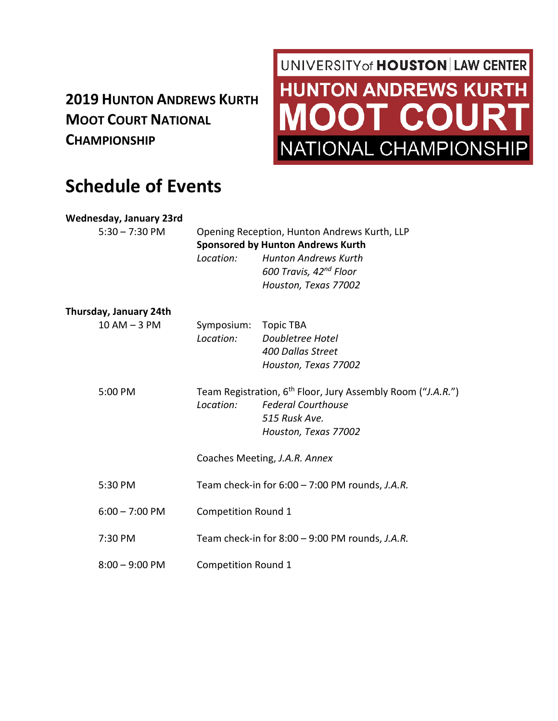### **2019 HUNTON ANDREWS KURTH MOOT COURT NATIONAL CHAMPIONSHIP**

# UNIVERSITY of **HOUSTON** LAW CENTER **HUNTON ANDREWS KURTH MOOT COURT** VATIONAL CHAMPIONSHI

## **Schedule of Events**

#### **Wednesday, January 23rd**

5:30 – 7:30 PM Opening Reception, Hunton Andrews Kurth, LLP **Sponsored by Hunton Andrews Kurth** *Location: Hunton Andrews Kurth 600 Travis, 42nd Floor Houston, Texas 77002*

#### **Thursday, January 24th**

| $10$ AM $-$ 3 PM | Symposium: Topic TBA<br>Location: | Doubletree Hotel<br>400 Dallas Street<br>Houston, Texas 77002                                                                                 |
|------------------|-----------------------------------|-----------------------------------------------------------------------------------------------------------------------------------------------|
| $5:00$ PM        | Location:                         | Team Registration, 6 <sup>th</sup> Floor, Jury Assembly Room ("J.A.R.")<br><b>Federal Courthouse</b><br>515 Rusk Ave.<br>Houston, Texas 77002 |
|                  |                                   | Coaches Meeting, J.A.R. Annex                                                                                                                 |
| 5:30 PM          |                                   | Team check-in for $6:00 - 7:00$ PM rounds, J.A.R.                                                                                             |
| $6:00 - 7:00$ PM | <b>Competition Round 1</b>        |                                                                                                                                               |
| 7:30 PM          |                                   | Team check-in for $8:00 - 9:00$ PM rounds, J.A.R.                                                                                             |
| $8:00 - 9:00$ PM | <b>Competition Round 1</b>        |                                                                                                                                               |